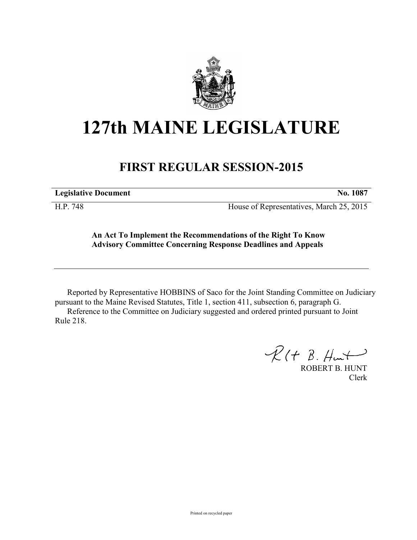

## **127th MAINE LEGISLATURE**

## **FIRST REGULAR SESSION-2015**

**Legislative Document No. 1087**

H.P. 748 House of Representatives, March 25, 2015

## **An Act To Implement the Recommendations of the Right To Know Advisory Committee Concerning Response Deadlines and Appeals**

Reported by Representative HOBBINS of Saco for the Joint Standing Committee on Judiciary pursuant to the Maine Revised Statutes, Title 1, section 411, subsection 6, paragraph G. Reference to the Committee on Judiciary suggested and ordered printed pursuant to Joint Rule 218.

 $R(H B. H<sub>ur</sub>)$ 

ROBERT B. HUNT Clerk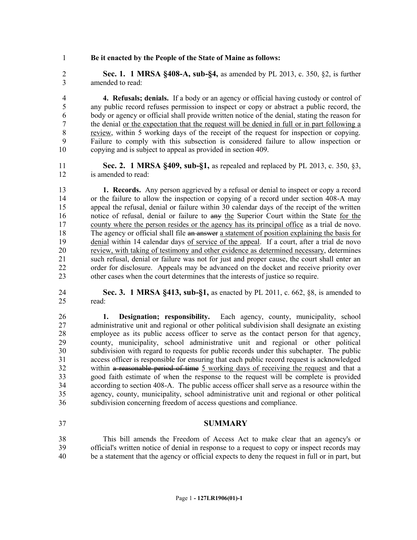## **Be it enacted by the People of the State of Maine as follows:**

 **Sec. 1. 1 MRSA §408-A, sub-§4,** as amended by PL 2013, c. 350, §2, is further amended to read:

 **4. Refusals; denials.** If a body or an agency or official having custody or control of any public record refuses permission to inspect or copy or abstract a public record, the body or agency or official shall provide written notice of the denial, stating the reason for 7 the denial <u>or the expectation that the request will be denied in full or in part following a</u> review, within 5 working days of the receipt of the request for inspection or copying. Failure to comply with this subsection is considered failure to allow inspection or copying and is subject to appeal as provided in section 409.

 **Sec. 2. 1 MRSA §409, sub-§1,** as repealed and replaced by PL 2013, c. 350, §3, is amended to read:

 **1. Records.** Any person aggrieved by a refusal or denial to inspect or copy a record or the failure to allow the inspection or copying of a record under section 408-A may appeal the refusal, denial or failure within 30 calendar days of the receipt of the written notice of refusal, denial or failure to any the Superior Court within the State for the county where the person resides or the agency has its principal office as a trial de novo. 18 The agency or official shall file an answer a statement of position explaining the basis for denial within 14 calendar days of service of the appeal. If a court, after a trial de novo 20 review, with taking of testimony and other evidence as determined necessary, determines<br>21 such refusal, denial or failure was not for just and proper cause, the court shall enter an such refusal, denial or failure was not for just and proper cause, the court shall enter an 22 order for disclosure. Appeals may be advanced on the docket and receive priority over other cases when the court determines that the interests of justice so require.

 **Sec. 3. 1 MRSA §413, sub-§1,** as enacted by PL 2011, c. 662, §8, is amended to read:

 **1. Designation; responsibility.** Each agency, county, municipality, school administrative unit and regional or other political subdivision shall designate an existing 28 employee as its public access officer to serve as the contact person for that agency,<br>29 county, municipality, school administrative unit and regional or other political county, municipality, school administrative unit and regional or other political subdivision with regard to requests for public records under this subchapter. The public access officer is responsible for ensuring that each public record request is acknowledged within a reasonable period of time 5 working days of receiving the request and that a good faith estimate of when the response to the request will be complete is provided according to section 408-A. The public access officer shall serve as a resource within the agency, county, municipality, school administrative unit and regional or other political subdivision concerning freedom of access questions and compliance.

**SUMMARY**

 This bill amends the Freedom of Access Act to make clear that an agency's or official's written notice of denial in response to a request to copy or inspect records may be a statement that the agency or official expects to deny the request in full or in part, but